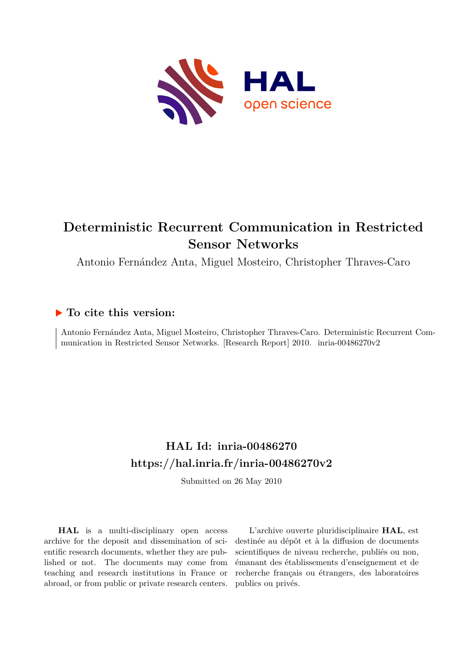

# **Deterministic Recurrent Communication in Restricted Sensor Networks**

Antonio Fernández Anta, Miguel Mosteiro, Christopher Thraves-Caro

# **To cite this version:**

Antonio Fernández Anta, Miguel Mosteiro, Christopher Thraves-Caro. Deterministic Recurrent Communication in Restricted Sensor Networks. [Research Report] 2010. inria-00486270v2

# **HAL Id: inria-00486270 <https://hal.inria.fr/inria-00486270v2>**

Submitted on 26 May 2010

**HAL** is a multi-disciplinary open access archive for the deposit and dissemination of scientific research documents, whether they are published or not. The documents may come from teaching and research institutions in France or abroad, or from public or private research centers.

L'archive ouverte pluridisciplinaire **HAL**, est destinée au dépôt et à la diffusion de documents scientifiques de niveau recherche, publiés ou non, émanant des établissements d'enseignement et de recherche français ou étrangers, des laboratoires publics ou privés.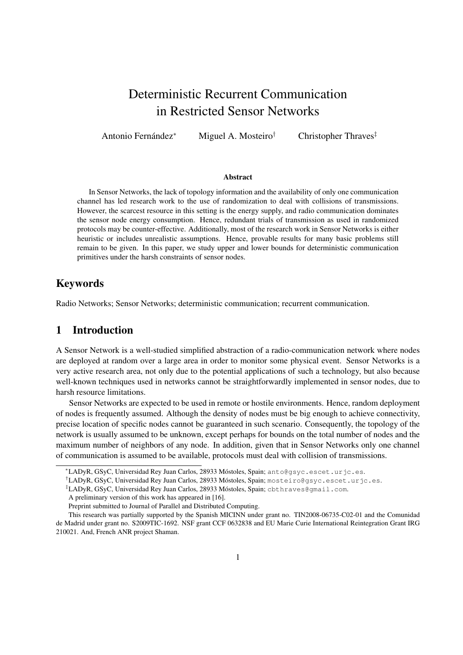# Deterministic Recurrent Communication in Restricted Sensor Networks

Antonio Fernández<sup>\*</sup> Miguel A. Mosteiro<sup>†</sup> Christopher Thraves<sup>‡</sup>

#### **Abstract**

In Sensor Networks, the lack of topology information and the availability of only one communication channel has led research work to the use of randomization to deal with collisions of transmissions. However, the scarcest resource in this setting is the energy supply, and radio communication dominates the sensor node energy consumption. Hence, redundant trials of transmission as used in randomized protocols may be counter-effective. Additionally, most of the research work in Sensor Networks is either heuristic or includes unrealistic assumptions. Hence, provable results for many basic problems still remain to be given. In this paper, we study upper and lower bounds for deterministic communication primitives under the harsh constraints of sensor nodes.

# Keywords

Radio Networks; Sensor Networks; deterministic communication; recurrent communication.

# 1 Introduction

A Sensor Network is a well-studied simplified abstraction of a radio-communication network where nodes are deployed at random over a large area in order to monitor some physical event. Sensor Networks is a very active research area, not only due to the potential applications of such a technology, but also because well-known techniques used in networks cannot be straightforwardly implemented in sensor nodes, due to harsh resource limitations.

Sensor Networks are expected to be used in remote or hostile environments. Hence, random deployment of nodes is frequently assumed. Although the density of nodes must be big enough to achieve connectivity, precise location of specific nodes cannot be guaranteed in such scenario. Consequently, the topology of the network is usually assumed to be unknown, except perhaps for bounds on the total number of nodes and the maximum number of neighbors of any node. In addition, given that in Sensor Networks only one channel of communication is assumed to be available, protocols must deal with collision of transmissions.

<sup>∗</sup>LADyR, GSyC, Universidad Rey Juan Carlos, 28933 Mostoles, Spain; ´ anto@gsyc.escet.urjc.es.

<sup>†</sup>LADyR, GSyC, Universidad Rey Juan Carlos, 28933 Mostoles, Spain; ´ mosteiro@gsyc.escet.urjc.es.

<sup>&</sup>lt;sup>‡</sup>LADyR, GSyC, Universidad Rey Juan Carlos, 28933 Móstoles, Spain; cbthraves@gmail.com.

A preliminary version of this work has appeared in [16].

Preprint submitted to Journal of Parallel and Distributed Computing.

This research was partially supported by the Spanish MICINN under grant no. TIN2008-06735-C02-01 and the Comunidad de Madrid under grant no. S2009TIC-1692. NSF grant CCF 0632838 and EU Marie Curie International Reintegration Grant IRG 210021. And, French ANR project Shaman.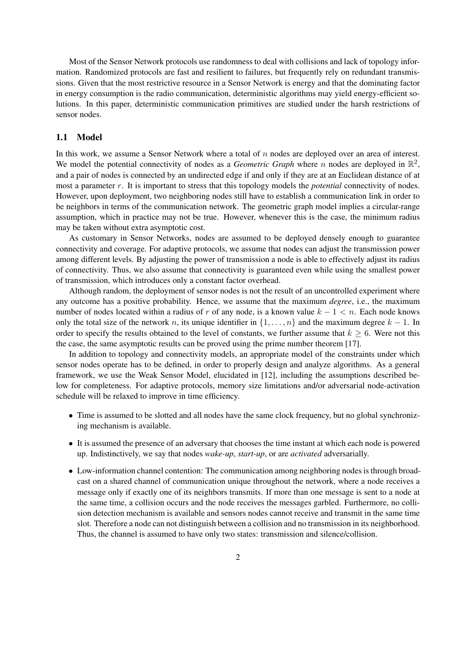Most of the Sensor Network protocols use randomness to deal with collisions and lack of topology information. Randomized protocols are fast and resilient to failures, but frequently rely on redundant transmissions. Given that the most restrictive resource in a Sensor Network is energy and that the dominating factor in energy consumption is the radio communication, deterministic algorithms may yield energy-efficient solutions. In this paper, deterministic communication primitives are studied under the harsh restrictions of sensor nodes.

### 1.1 Model

In this work, we assume a Sensor Network where a total of n nodes are deployed over an area of interest. We model the potential connectivity of nodes as a *Geometric Graph* where *n* nodes are deployed in  $\mathbb{R}^2$ , and a pair of nodes is connected by an undirected edge if and only if they are at an Euclidean distance of at most a parameter r. It is important to stress that this topology models the *potential* connectivity of nodes. However, upon deployment, two neighboring nodes still have to establish a communication link in order to be neighbors in terms of the communication network. The geometric graph model implies a circular-range assumption, which in practice may not be true. However, whenever this is the case, the minimum radius may be taken without extra asymptotic cost.

As customary in Sensor Networks, nodes are assumed to be deployed densely enough to guarantee connectivity and coverage. For adaptive protocols, we assume that nodes can adjust the transmission power among different levels. By adjusting the power of transmission a node is able to effectively adjust its radius of connectivity. Thus, we also assume that connectivity is guaranteed even while using the smallest power of transmission, which introduces only a constant factor overhead.

Although random, the deployment of sensor nodes is not the result of an uncontrolled experiment where any outcome has a positive probability. Hence, we assume that the maximum *degree*, i.e., the maximum number of nodes located within a radius of r of any node, is a known value  $k - 1 < n$ . Each node knows only the total size of the network n, its unique identifier in  $\{1, \ldots, n\}$  and the maximum degree  $k - 1$ . In order to specify the results obtained to the level of constants, we further assume that  $k \geq 6$ . Were not this the case, the same asymptotic results can be proved using the prime number theorem [17].

In addition to topology and connectivity models, an appropriate model of the constraints under which sensor nodes operate has to be defined, in order to properly design and analyze algorithms. As a general framework, we use the Weak Sensor Model, elucidated in [12], including the assumptions described below for completeness. For adaptive protocols, memory size limitations and/or adversarial node-activation schedule will be relaxed to improve in time efficiency.

- Time is assumed to be slotted and all nodes have the same clock frequency, but no global synchronizing mechanism is available.
- It is assumed the presence of an adversary that chooses the time instant at which each node is powered up. Indistinctively, we say that nodes *wake-up*, *start-up*, or are *activated* adversarially.
- Low-information channel contention: The communication among neighboring nodes is through broadcast on a shared channel of communication unique throughout the network, where a node receives a message only if exactly one of its neighbors transmits. If more than one message is sent to a node at the same time, a collision occurs and the node receives the messages garbled. Furthermore, no collision detection mechanism is available and sensors nodes cannot receive and transmit in the same time slot. Therefore a node can not distinguish between a collision and no transmission in its neighborhood. Thus, the channel is assumed to have only two states: transmission and silence/collision.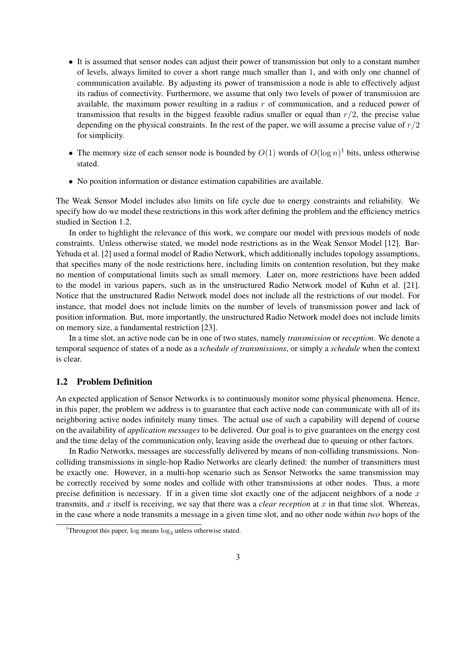- It is assumed that sensor nodes can adjust their power of transmission but only to a constant number of levels, always limited to cover a short range much smaller than 1, and with only one channel of communication available. By adjusting its power of transmission a node is able to effectively adjust its radius of connectivity. Furthermore, we assume that only two levels of power of transmission are available, the maximum power resulting in a radius  $r$  of communication, and a reduced power of transmission that results in the biggest feasible radius smaller or equal than  $r/2$ , the precise value depending on the physical constraints. In the rest of the paper, we will assume a precise value of  $r/2$ for simplicity.
- The memory size of each sensor node is bounded by  $O(1)$  words of  $O(\log n)^1$  bits, unless otherwise stated.
- No position information or distance estimation capabilities are available.

The Weak Sensor Model includes also limits on life cycle due to energy constraints and reliability. We specify how do we model these restrictions in this work after defining the problem and the efficiency metrics studied in Section 1.2.

In order to highlight the relevance of this work, we compare our model with previous models of node constraints. Unless otherwise stated, we model node restrictions as in the Weak Sensor Model [12]. Bar-Yehuda et al. [2] used a formal model of Radio Network, which additionally includes topology assumptions, that specifies many of the node restrictions here, including limits on contention resolution, but they make no mention of computational limits such as small memory. Later on, more restrictions have been added to the model in various papers, such as in the unstructured Radio Network model of Kuhn et al. [21]. Notice that the unstructured Radio Network model does not include all the restrictions of our model. For instance, that model does not include limits on the number of levels of transmission power and lack of position information. But, more importantly, the unstructured Radio Network model does not include limits on memory size, a fundamental restriction [23].

In a time slot, an active node can be in one of two states, namely *transmission* or *reception*. We denote a temporal sequence of states of a node as a *schedule of transmissions*, or simply a *schedule* when the context is clear.

### 1.2 Problem Definition

An expected application of Sensor Networks is to continuously monitor some physical phenomena. Hence, in this paper, the problem we address is to guarantee that each active node can communicate with all of its neighboring active nodes infinitely many times. The actual use of such a capability will depend of course on the availability of *application messages* to be delivered. Our goal is to give guarantees on the energy cost and the time delay of the communication only, leaving aside the overhead due to queuing or other factors.

In Radio Networks, messages are successfully delivered by means of non-colliding transmissions. Noncolliding transmissions in single-hop Radio Networks are clearly defined: the number of transmitters must be exactly one. However, in a multi-hop scenario such as Sensor Networks the same transmission may be correctly received by some nodes and collide with other transmissions at other nodes. Thus, a more precise definition is necessary. If in a given time slot exactly one of the adjacent neighbors of a node  $x$ transmits, and x itself is receiving, we say that there was a *clear reception* at x in that time slot. Whereas, in the case where a node transmits a message in a given time slot, and no other node within *two* hops of the

<sup>&</sup>lt;sup>1</sup>Througout this paper,  $log$  means  $log_2$  unless otherwise stated.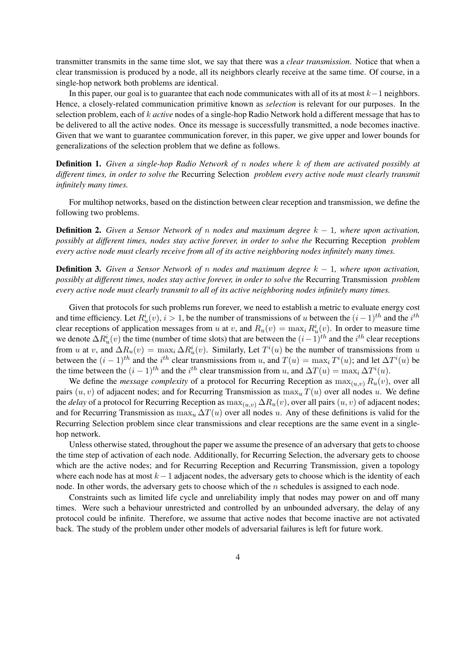transmitter transmits in the same time slot, we say that there was a *clear transmission*. Notice that when a clear transmission is produced by a node, all its neighbors clearly receive at the same time. Of course, in a single-hop network both problems are identical.

In this paper, our goal is to guarantee that each node communicates with all of its at most  $k-1$  neighbors. Hence, a closely-related communication primitive known as *selection* is relevant for our purposes. In the selection problem, each of k *active* nodes of a single-hop Radio Network hold a different message that has to be delivered to all the active nodes. Once its message is successfully transmitted, a node becomes inactive. Given that we want to guarantee communication forever, in this paper, we give upper and lower bounds for generalizations of the selection problem that we define as follows.

Definition 1. *Given a single-hop Radio Network of* n *nodes where* k *of them are activated possibly at different times, in order to solve the* Recurring Selection *problem every active node must clearly transmit infinitely many times.*

For multihop networks, based on the distinction between clear reception and transmission, we define the following two problems.

Definition 2. *Given a Sensor Network of* n *nodes and maximum degree* k − 1*, where upon activation, possibly at different times, nodes stay active forever, in order to solve the* Recurring Reception *problem every active node must clearly receive from all of its active neighboring nodes infinitely many times.*

Definition 3. *Given a Sensor Network of* n *nodes and maximum degree* k − 1*, where upon activation, possibly at different times, nodes stay active forever, in order to solve the* Recurring Transmission *problem every active node must clearly transmit to all of its active neighboring nodes infinitely many times.*

Given that protocols for such problems run forever, we need to establish a metric to evaluate energy cost and time efficiency. Let  $R_u^i(v)$ ,  $i > 1$ , be the number of transmissions of u between the  $(i-1)^{th}$  and the  $i^{th}$ clear receptions of application messages from u at v, and  $R_u(v) = \max_i R_u^i(v)$ . In order to measure time we denote  $\Delta R_u^i(v)$  the time (number of time slots) that are between the  $(i-1)^{th}$  and the  $i^{th}$  clear receptions from u at v, and  $\Delta R_u(v) = \max_i \Delta R_u^i(v)$ . Similarly, Let  $T^i(u)$  be the number of transmissions from u between the  $(i-1)$ <sup>th</sup> and the i<sup>th</sup> clear transmissions from u, and  $T(u) = \max_i T^i(u)$ ; and let  $\Delta T^i(u)$  be the time between the  $(i-1)$ <sup>th</sup> and the i<sup>th</sup> clear transmission from u, and  $\Delta T(u) = \max_i \Delta T^i(u)$ .

We define the *message complexity* of a protocol for Recurring Reception as  $\max_{(u,v)} R_u(v)$ , over all pairs  $(u, v)$  of adjacent nodes; and for Recurring Transmission as  $\max_u T(u)$  over all nodes u. We define the *delay* of a protocol for Recurring Reception as  $\max_{(u,v)} \Delta R_u(v)$ , over all pairs  $(u, v)$  of adjacent nodes; and for Recurring Transmission as  $\max_u \Delta T(u)$  over all nodes u. Any of these definitions is valid for the Recurring Selection problem since clear transmissions and clear receptions are the same event in a singlehop network.

Unless otherwise stated, throughout the paper we assume the presence of an adversary that gets to choose the time step of activation of each node. Additionally, for Recurring Selection, the adversary gets to choose which are the active nodes; and for Recurring Reception and Recurring Transmission, given a topology where each node has at most  $k - 1$  adjacent nodes, the adversary gets to choose which is the identity of each node. In other words, the adversary gets to choose which of the  $n$  schedules is assigned to each node.

Constraints such as limited life cycle and unreliability imply that nodes may power on and off many times. Were such a behaviour unrestricted and controlled by an unbounded adversary, the delay of any protocol could be infinite. Therefore, we assume that active nodes that become inactive are not activated back. The study of the problem under other models of adversarial failures is left for future work.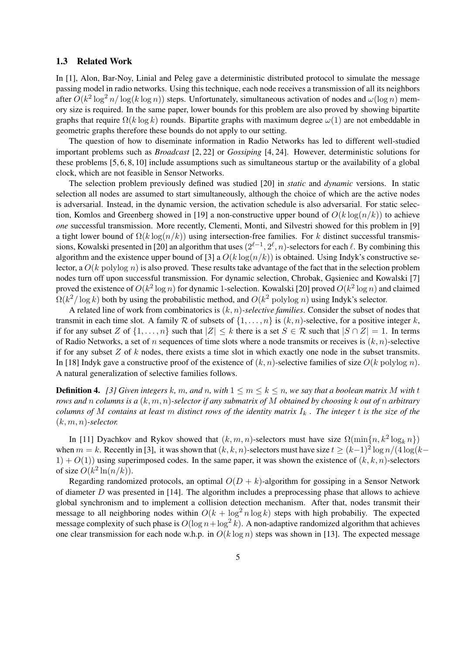### 1.3 Related Work

In [1], Alon, Bar-Noy, Linial and Peleg gave a deterministic distributed protocol to simulate the message passing model in radio networks. Using this technique, each node receives a transmission of all its neighbors after  $O(k^2 \log^2 n / \log(k \log n))$  steps. Unfortunately, simultaneous activation of nodes and  $\omega(\log n)$  memory size is required. In the same paper, lower bounds for this problem are also proved by showing bipartite graphs that require  $\Omega(k \log k)$  rounds. Bipartite graphs with maximum degree  $\omega(1)$  are not embeddable in geometric graphs therefore these bounds do not apply to our setting.

The question of how to diseminate information in Radio Networks has led to different well-studied important problems such as *Broadcast* [2, 22] or *Gossiping* [4, 24]. However, deterministic solutions for these problems [5, 6, 8, 10] include assumptions such as simultaneous startup or the availability of a global clock, which are not feasible in Sensor Networks.

The selection problem previously defined was studied [20] in *static* and *dynamic* versions. In static selection all nodes are assumed to start simultaneously, although the choice of which are the active nodes is adversarial. Instead, in the dynamic version, the activation schedule is also adversarial. For static selection, Komlos and Greenberg showed in [19] a non-constructive upper bound of  $O(k \log(n/k))$  to achieve *one* successful transmission. More recently, Clementi, Monti, and Silvestri showed for this problem in [9] a tight lower bound of  $\Omega(k \log(n/k))$  using intersection-free families. For k distinct successful transmissions, Kowalski presented in [20] an algorithm that uses  $(2^{\ell-1}, 2^{\ell}, n)$ -selectors for each  $\ell$ . By combining this algorithm and the existence upper bound of [3] a  $O(k \log(n/k))$  is obtained. Using Indyk's constructive selector, a  $O(k \text{ polylog } n)$  is also proved. These results take advantage of the fact that in the selection problem nodes turn off upon successful transmission. For dynamic selection, Chrobak, Gasieniec and Kowalski [7] proved the existence of  $O(k^2 \log n)$  for dynamic 1-selection. Kowalski [20] proved  $O(k^2 \log n)$  and claimed  $\Omega(k^2/\log k)$  both by using the probabilistic method, and  $O(k^2 \text{ polylog } n)$  using Indyk's selector.

A related line of work from combinatorics is (k, n)*-selective families*. Consider the subset of nodes that transmit in each time slot. A family R of subsets of  $\{1, \ldots, n\}$  is  $(k, n)$ -selective, for a positive integer k, if for any subset Z of  $\{1,\ldots,n\}$  such that  $|Z| \leq k$  there is a set  $S \in \mathcal{R}$  such that  $|S \cap Z| = 1$ . In terms of Radio Networks, a set of n sequences of time slots where a node transmits or receives is  $(k, n)$ -selective if for any subset  $Z$  of  $k$  nodes, there exists a time slot in which exactly one node in the subset transmits. In [18] Indyk gave a constructive proof of the existence of  $(k, n)$ -selective families of size  $O(k \text{ polylog } n)$ . A natural generalization of selective families follows.

**Definition 4.** *[3] Given integers* k, m, and n, with  $1 \le m \le k \le n$ , we say that a boolean matrix M with t *rows and* n *columns is a* (k, m, n)*-selector if any submatrix of* M *obtained by choosing* k *out of* n *arbitrary columns of* M *contains at least* m *distinct rows of the identity matrix* I<sup>k</sup> *. The integer* t *is the size of the* (k, m, n)*-selector.*

In [11] Dyachkov and Rykov showed that  $(k, m, n)$ -selectors must have size  $\Omega(\min\{n, k^2 \log_k n\})$ when  $m = k$ . Recently in [3], it was shown that  $(k, k, n)$ -selectors must have size  $t \ge (k-1)^2 \log n/(4 \log(k-1))$  $1) + O(1)$ ) using superimposed codes. In the same paper, it was shown the existence of  $(k, k, n)$ -selectors of size  $O(k^2 \ln(n/k)).$ 

Regarding randomized protocols, an optimal  $O(D + k)$ -algorithm for gossiping in a Sensor Network of diameter  $D$  was presented in [14]. The algorithm includes a preprocessing phase that allows to achieve global synchronism and to implement a collision detection mechanism. After that, nodes transmit their message to all neighboring nodes within  $O(k + \log^2 n \log k)$  steps with high probabiliy. The expected message complexity of such phase is  $O(\log n + \log^2 k)$ . A non-adaptive randomized algorithm that achieves one clear transmission for each node w.h.p. in  $O(k \log n)$  steps was shown in [13]. The expected message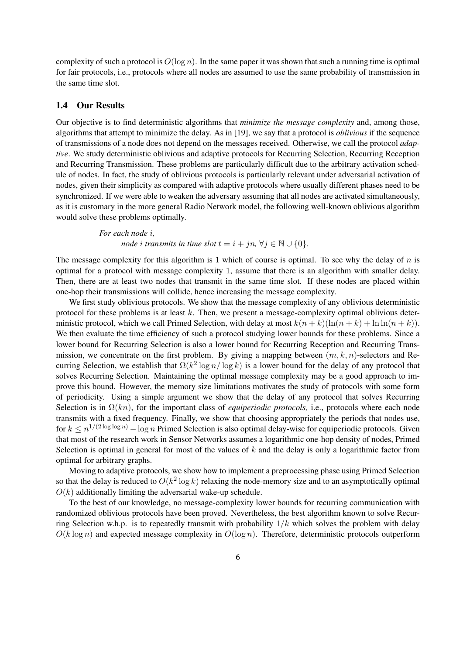complexity of such a protocol is  $O(\log n)$ . In the same paper it was shown that such a running time is optimal for fair protocols, i.e., protocols where all nodes are assumed to use the same probability of transmission in the same time slot.

### 1.4 Our Results

Our objective is to find deterministic algorithms that *minimize the message complexity* and, among those, algorithms that attempt to minimize the delay. As in [19], we say that a protocol is *oblivious* if the sequence of transmissions of a node does not depend on the messages received. Otherwise, we call the protocol *adaptive*. We study deterministic oblivious and adaptive protocols for Recurring Selection, Recurring Reception and Recurring Transmission. These problems are particularly difficult due to the arbitrary activation schedule of nodes. In fact, the study of oblivious protocols is particularly relevant under adversarial activation of nodes, given their simplicity as compared with adaptive protocols where usually different phases need to be synchronized. If we were able to weaken the adversary assuming that all nodes are activated simultaneously, as it is customary in the more general Radio Network model, the following well-known oblivious algorithm would solve these problems optimally.

> *For each node* i*, node i transmits in time slot*  $t = i + jn$ ,  $\forall j \in \mathbb{N} \cup \{0\}$ .

The message complexity for this algorithm is 1 which of course is optimal. To see why the delay of  $n$  is optimal for a protocol with message complexity 1, assume that there is an algorithm with smaller delay. Then, there are at least two nodes that transmit in the same time slot. If these nodes are placed within one-hop their transmissions will collide, hence increasing the message complexity.

We first study oblivious protocols. We show that the message complexity of any oblivious deterministic protocol for these problems is at least  $k$ . Then, we present a message-complexity optimal oblivious deterministic protocol, which we call Primed Selection, with delay at most  $k(n + k)(\ln(n + k) + \ln \ln(n + k))$ . We then evaluate the time efficiency of such a protocol studying lower bounds for these problems. Since a lower bound for Recurring Selection is also a lower bound for Recurring Reception and Recurring Transmission, we concentrate on the first problem. By giving a mapping between  $(m, k, n)$ -selectors and Recurring Selection, we establish that  $\Omega(k^2 \log n / \log k)$  is a lower bound for the delay of any protocol that solves Recurring Selection. Maintaining the optimal message complexity may be a good approach to improve this bound. However, the memory size limitations motivates the study of protocols with some form of periodicity. Using a simple argument we show that the delay of any protocol that solves Recurring Selection is in  $\Omega(kn)$ , for the important class of *equiperiodic protocols*, i.e., protocols where each node transmits with a fixed frequency. Finally, we show that choosing appropriately the periods that nodes use, for  $k \leq n^{1/(2\log\log n)} - \log n$  Primed Selection is also optimal delay-wise for equiperiodic protocols. Given that most of the research work in Sensor Networks assumes a logarithmic one-hop density of nodes, Primed Selection is optimal in general for most of the values of  $k$  and the delay is only a logarithmic factor from optimal for arbitrary graphs.

Moving to adaptive protocols, we show how to implement a preprocessing phase using Primed Selection so that the delay is reduced to  $O(k^2 \log k)$  relaxing the node-memory size and to an asymptotically optimal  $O(k)$  additionally limiting the adversarial wake-up schedule.

To the best of our knowledge, no message-complexity lower bounds for recurring communication with randomized oblivious protocols have been proved. Nevertheless, the best algorithm known to solve Recurring Selection w.h.p. is to repeatedly transmit with probability  $1/k$  which solves the problem with delay  $O(k \log n)$  and expected message complexity in  $O(\log n)$ . Therefore, deterministic protocols outperform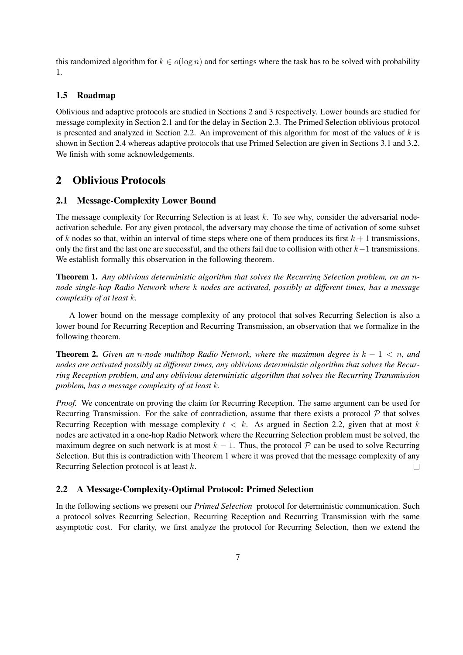this randomized algorithm for  $k \in o(\log n)$  and for settings where the task has to be solved with probability 1.

## 1.5 Roadmap

Oblivious and adaptive protocols are studied in Sections 2 and 3 respectively. Lower bounds are studied for message complexity in Section 2.1 and for the delay in Section 2.3. The Primed Selection oblivious protocol is presented and analyzed in Section 2.2. An improvement of this algorithm for most of the values of  $k$  is shown in Section 2.4 whereas adaptive protocols that use Primed Selection are given in Sections 3.1 and 3.2. We finish with some acknowledgements.

# 2 Oblivious Protocols

## 2.1 Message-Complexity Lower Bound

The message complexity for Recurring Selection is at least  $k$ . To see why, consider the adversarial nodeactivation schedule. For any given protocol, the adversary may choose the time of activation of some subset of k nodes so that, within an interval of time steps where one of them produces its first  $k + 1$  transmissions, only the first and the last one are successful, and the others fail due to collision with other  $k-1$  transmissions. We establish formally this observation in the following theorem.

Theorem 1. *Any oblivious deterministic algorithm that solves the Recurring Selection problem, on an* n*node single-hop Radio Network where* k *nodes are activated, possibly at different times, has a message complexity of at least* k*.*

A lower bound on the message complexity of any protocol that solves Recurring Selection is also a lower bound for Recurring Reception and Recurring Transmission, an observation that we formalize in the following theorem.

**Theorem 2.** Given an n-node multihop Radio Network, where the maximum degree is  $k - 1 < n$ , and *nodes are activated possibly at different times, any oblivious deterministic algorithm that solves the Recurring Reception problem, and any oblivious deterministic algorithm that solves the Recurring Transmission problem, has a message complexity of at least* k*.*

*Proof.* We concentrate on proving the claim for Recurring Reception. The same argument can be used for Recurring Transmission. For the sake of contradiction, assume that there exists a protocol  $P$  that solves Recurring Reception with message complexity  $t < k$ . As argued in Section 2.2, given that at most k nodes are activated in a one-hop Radio Network where the Recurring Selection problem must be solved, the maximum degree on such network is at most  $k - 1$ . Thus, the protocol  $P$  can be used to solve Recurring Selection. But this is contradiction with Theorem 1 where it was proved that the message complexity of any Recurring Selection protocol is at least k.  $\Box$ 

## 2.2 A Message-Complexity-Optimal Protocol: Primed Selection

In the following sections we present our *Primed Selection* protocol for deterministic communication. Such a protocol solves Recurring Selection, Recurring Reception and Recurring Transmission with the same asymptotic cost. For clarity, we first analyze the protocol for Recurring Selection, then we extend the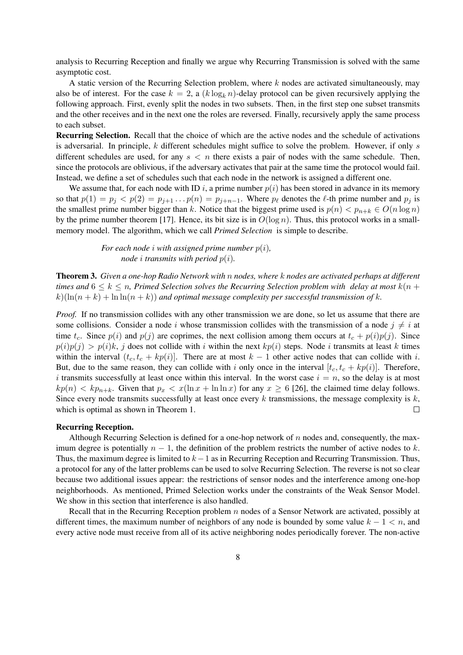analysis to Recurring Reception and finally we argue why Recurring Transmission is solved with the same asymptotic cost.

A static version of the Recurring Selection problem, where  $k$  nodes are activated simultaneously, may also be of interest. For the case  $k = 2$ , a  $(k \log_k n)$ -delay protocol can be given recursively applying the following approach. First, evenly split the nodes in two subsets. Then, in the first step one subset transmits and the other receives and in the next one the roles are reversed. Finally, recursively apply the same process to each subset.

Recurring Selection. Recall that the choice of which are the active nodes and the schedule of activations is adversarial. In principle,  $k$  different schedules might suffice to solve the problem. However, if only  $s$ different schedules are used, for any  $s < n$  there exists a pair of nodes with the same schedule. Then, since the protocols are oblivious, if the adversary activates that pair at the same time the protocol would fail. Instead, we define a set of schedules such that each node in the network is assigned a different one.

We assume that, for each node with ID i, a prime number  $p(i)$  has been stored in advance in its memory so that  $p(1) = p_j < p(2) = p_{j+1} \dots p(n) = p_{j+n-1}$ . Where  $p_\ell$  denotes the  $\ell$ -th prime number and  $p_j$  is the smallest prime number bigger than k. Notice that the biggest prime used is  $p(n) < p_{n+k} \in O(n \log n)$ by the prime number theorem [17]. Hence, its bit size is in  $O(\log n)$ . Thus, this protocol works in a smallmemory model. The algorithm, which we call *Primed Selection* is simple to describe.

> *For each node i* with assigned prime number  $p(i)$ , *node i transmits* with period  $p(i)$ .

Theorem 3. *Given a one-hop Radio Network with* n *nodes, where* k *nodes are activated perhaps at different times and*  $6 \leq k \leq n$ , Primed Selection solves the Recurring Selection problem with delay at most  $k(n + 1)$  $k(\ln(n+k) + \ln \ln(n+k))$  *and optimal message complexity per successful transmission of k.* 

*Proof.* If no transmission collides with any other transmission we are done, so let us assume that there are some collisions. Consider a node i whose transmission collides with the transmission of a node  $j \neq i$  at time  $t_c$ . Since  $p(i)$  and  $p(j)$  are coprimes, the next collision among them occurs at  $t_c + p(i)p(j)$ . Since  $p(i)p(j) > p(i)k$ , j does not collide with i within the next  $kp(i)$  steps. Node i transmits at least k times within the interval  $(t_c, t_c + kp(i))$ . There are at most  $k - 1$  other active nodes that can collide with i. But, due to the same reason, they can collide with i only once in the interval  $[t_c, t_c + kp(i)]$ . Therefore, i transmits successfully at least once within this interval. In the worst case  $i = n$ , so the delay is at most  $kp(n) < kp_{n+k}$ . Given that  $p_x < x(\ln x + \ln \ln x)$  for any  $x \ge 6$  [26], the claimed time delay follows. Since every node transmits successfully at least once every  $k$  transmissions, the message complexity is  $k$ , which is optimal as shown in Theorem 1.  $\Box$ 

#### Recurring Reception.

Although Recurring Selection is defined for a one-hop network of  $n$  nodes and, consequently, the maximum degree is potentially  $n - 1$ , the definition of the problem restricts the number of active nodes to k. Thus, the maximum degree is limited to  $k-1$  as in Recurring Reception and Recurring Transmission. Thus, a protocol for any of the latter problems can be used to solve Recurring Selection. The reverse is not so clear because two additional issues appear: the restrictions of sensor nodes and the interference among one-hop neighborhoods. As mentioned, Primed Selection works under the constraints of the Weak Sensor Model. We show in this section that interference is also handled.

Recall that in the Recurring Reception problem  $n$  nodes of a Sensor Network are activated, possibly at different times, the maximum number of neighbors of any node is bounded by some value  $k - 1 < n$ , and every active node must receive from all of its active neighboring nodes periodically forever. The non-active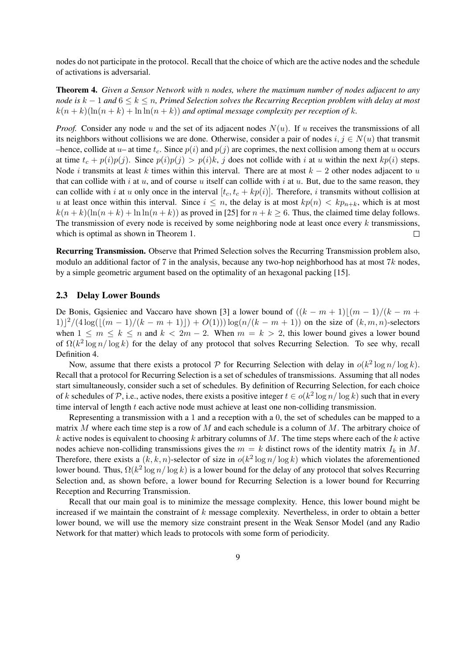nodes do not participate in the protocol. Recall that the choice of which are the active nodes and the schedule of activations is adversarial.

Theorem 4. *Given a Sensor Network with* n *nodes, where the maximum number of nodes adjacent to any node is* k − 1 *and* 6 ≤ k ≤ n*, Primed Selection solves the Recurring Reception problem with delay at most*  $k(n + k)(\ln(n + k) + \ln(n + k))$  *and optimal message complexity per reception of k.* 

*Proof.* Consider any node u and the set of its adjacent nodes  $N(u)$ . If u receives the transmissions of all its neighbors without collisions we are done. Otherwise, consider a pair of nodes  $i, j \in N(u)$  that transmit –hence, collide at u– at time  $t_c$ . Since  $p(i)$  and  $p(j)$  are coprimes, the next collision among them at u occurs at time  $t_c + p(i)p(j)$ . Since  $p(i)p(j) > p(i)k$ , j does not collide with i at u within the next  $kp(i)$  steps. Node *i* transmits at least k times within this interval. There are at most  $k - 2$  other nodes adjacent to u that can collide with i at u, and of course u itself can collide with i at u. But, due to the same reason, they can collide with i at u only once in the interval  $[t_c, t_c + kp(i)]$ . Therefore, i transmits without collision at u at least once within this interval. Since  $i \leq n$ , the delay is at most  $kp(n) < kp_{n+k}$ , which is at most  $k(n + k)(\ln(n + k) + \ln \ln(n + k))$  as proved in [25] for  $n + k \ge 6$ . Thus, the claimed time delay follows. The transmission of every node is received by some neighboring node at least once every  $k$  transmissions, which is optimal as shown in Theorem 1.  $\Box$ 

Recurring Transmission. Observe that Primed Selection solves the Recurring Transmission problem also, modulo an additional factor of 7 in the analysis, because any two-hop neighborhood has at most  $7k$  nodes, by a simple geometric argument based on the optimality of an hexagonal packing [15].

#### 2.3 Delay Lower Bounds

De Bonis, Gasieniec and Vaccaro have shown [3] a lower bound of  $((k - m + 1)(m - 1)/(k - m + 1))$  $(1)^2/(4 \log(\lfloor (m-1)/(k-m+1) \rfloor) + O(1))) \log(n/(k-m+1))$  on the size of  $(k, m, n)$ -selectors when  $1 \leq m \leq k \leq n$  and  $k < 2m - 2$ . When  $m = k > 2$ , this lower bound gives a lower bound of  $\Omega(k^2 \log n / \log k)$  for the delay of any protocol that solves Recurring Selection. To see why, recall Definition 4.

Now, assume that there exists a protocol  $P$  for Recurring Selection with delay in  $o(k^2 \log n / \log k)$ . Recall that a protocol for Recurring Selection is a set of schedules of transmissions. Assuming that all nodes start simultaneously, consider such a set of schedules. By definition of Recurring Selection, for each choice of k schedules of P, i.e., active nodes, there exists a positive integer  $t \in o(k^2 \log n / \log k)$  such that in every time interval of length t each active node must achieve at least one non-colliding transmission.

Representing a transmission with a 1 and a reception with a 0, the set of schedules can be mapped to a matrix M where each time step is a row of M and each schedule is a column of M. The arbitrary choice of k active nodes is equivalent to choosing k arbitrary columns of M. The time steps where each of the k active nodes achieve non-colliding transmissions gives the  $m = k$  distinct rows of the identity matrix  $I_k$  in M. Therefore, there exists a  $(k, k, n)$ -selector of size in  $o(k^2 \log n / \log k)$  which violates the aforementioned lower bound. Thus,  $\Omega(k^2 \log n / \log k)$  is a lower bound for the delay of any protocol that solves Recurring Selection and, as shown before, a lower bound for Recurring Selection is a lower bound for Recurring Reception and Recurring Transmission.

Recall that our main goal is to minimize the message complexity. Hence, this lower bound might be increased if we maintain the constraint of  $k$  message complexity. Nevertheless, in order to obtain a better lower bound, we will use the memory size constraint present in the Weak Sensor Model (and any Radio Network for that matter) which leads to protocols with some form of periodicity.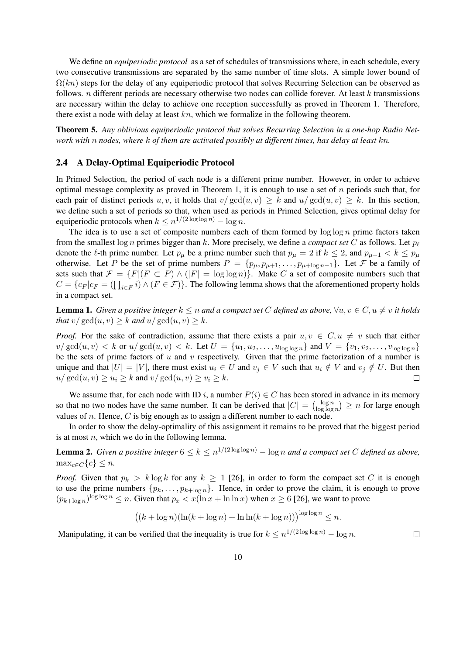We define an *equiperiodic protocol* as a set of schedules of transmissions where, in each schedule, every two consecutive transmissions are separated by the same number of time slots. A simple lower bound of  $\Omega(kn)$  steps for the delay of any equiperiodic protocol that solves Recurring Selection can be observed as follows. *n* different periods are necessary otherwise two nodes can collide forever. At least k transmissions are necessary within the delay to achieve one reception successfully as proved in Theorem 1. Therefore, there exist a node with delay at least  $kn$ , which we formalize in the following theorem.

Theorem 5. *Any oblivious equiperiodic protocol that solves Recurring Selection in a one-hop Radio Network with* n *nodes, where* k *of them are activated possibly at different times, has delay at least* kn*.*

#### 2.4 A Delay-Optimal Equiperiodic Protocol

In Primed Selection, the period of each node is a different prime number. However, in order to achieve optimal message complexity as proved in Theorem 1, it is enough to use a set of  $n$  periods such that, for each pair of distinct periods u, v, it holds that  $v/\gcd(u, v) \ge k$  and  $u/\gcd(u, v) \ge k$ . In this section, we define such a set of periods so that, when used as periods in Primed Selection, gives optimal delay for equiperiodic protocols when  $k \leq n^{1/(2\log\log n)} - \log n$ .

The idea is to use a set of composite numbers each of them formed by  $\log \log n$  prime factors taken from the smallest log n primes bigger than k. More precisely, we define a *compact set* C as follows. Let  $p_\ell$ denote the  $\ell$ -th prime number. Let  $p_\mu$  be a prime number such that  $p_\mu = 2$  if  $k \le 2$ , and  $p_{\mu-1} < k \le p_\mu$ otherwise. Let P be the set of prime numbers  $P = \{p_{\mu}, p_{\mu+1}, \ldots, p_{\mu+\log n-1}\}\$ . Let F be a family of sets such that  $\mathcal{F} = \{F | (F \subset P) \wedge (|F| = \log \log n)\}\)$ . Make C a set of composite numbers such that  $C = \{c_F | c_F = (\prod_{i \in F} i) \wedge (F \in \mathcal{F})\}$ . The following lemma shows that the aforementioned property holds in a compact set.

**Lemma 1.** *Given a positive integer*  $k \leq n$  *and a compact set* C *defined as above*,  $\forall u, v \in C, u \neq v$  *it holds that*  $v/gcd(u, v) \geq k$  *and*  $u/gcd(u, v) \geq k$ *.* 

*Proof.* For the sake of contradiction, assume that there exists a pair  $u, v \in C, u \neq v$  such that either  $v/\gcd(u, v) < k$  or  $u/\gcd(u, v) < k$ . Let  $U = \{u_1, u_2, \ldots, u_{\log \log n}\}\$  and  $V = \{v_1, v_2, \ldots, v_{\log \log n}\}\$ be the sets of prime factors of  $u$  and  $v$  respectively. Given that the prime factorization of a number is unique and that  $|U| = |V|$ , there must exist  $u_i \in U$  and  $v_j \in V$  such that  $u_i \notin V$  and  $v_j \notin U$ . But then  $u/\gcd(u, v) \geq u_i \geq k$  and  $v/\gcd(u, v) \geq v_i \geq k$ .

We assume that, for each node with ID i, a number  $P(i) \in C$  has been stored in advance in its memory so that no two nodes have the same number. It can be derived that  $|C| = \int_{\log \log R}^{\log n}$  $\frac{\log n}{\log \log n}$   $\geq n$  for large enough values of n. Hence,  $C$  is big enough as to assign a different number to each node.

In order to show the delay-optimality of this assignment it remains to be proved that the biggest period is at most  $n$ , which we do in the following lemma.

**Lemma 2.** Given a positive integer  $6 \leq k \leq n^{1/(2 \log \log n)} - \log n$  and a compact set C defined as above,  $\max_{c \in C} \{c\} \leq n$ .

*Proof.* Given that  $p_k > k \log k$  for any  $k \ge 1$  [26], in order to form the compact set C it is enough to use the prime numbers  $\{p_k, \ldots, p_{k+\log n}\}\$ . Hence, in order to prove the claim, it is enough to prove  $(p_{k+\log n})^{\log \log n} \leq n$ . Given that  $p_x < x(\ln x + \ln \ln x)$  when  $x \geq 6$  [26], we want to prove

$$
((k + \log n)(\ln(k + \log n) + \ln \ln(k + \log n)))^{\log \log n} \le n.
$$

Manipulating, it can be verified that the inequality is true for  $k \leq n^{1/(2 \log \log n)} - \log n$ .

 $\Box$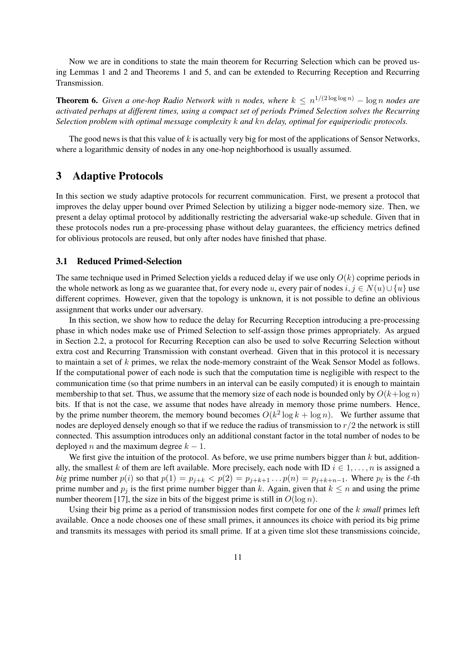Now we are in conditions to state the main theorem for Recurring Selection which can be proved using Lemmas 1 and 2 and Theorems 1 and 5, and can be extended to Recurring Reception and Recurring Transmission.

**Theorem 6.** Given a one-hop Radio Network with n nodes, where  $k \leq n^{1/(2 \log \log n)} - \log n$  nodes are *activated perhaps at different times, using a compact set of periods Primed Selection solves the Recurring Selection problem with optimal message complexity* k *and* kn *delay, optimal for equiperiodic protocols.*

The good news is that this value of  $k$  is actually very big for most of the applications of Sensor Networks, where a logarithmic density of nodes in any one-hop neighborhood is usually assumed.

## 3 Adaptive Protocols

In this section we study adaptive protocols for recurrent communication. First, we present a protocol that improves the delay upper bound over Primed Selection by utilizing a bigger node-memory size. Then, we present a delay optimal protocol by additionally restricting the adversarial wake-up schedule. Given that in these protocols nodes run a pre-processing phase without delay guarantees, the efficiency metrics defined for oblivious protocols are reused, but only after nodes have finished that phase.

### 3.1 Reduced Primed-Selection

The same technique used in Primed Selection yields a reduced delay if we use only  $O(k)$  coprime periods in the whole network as long as we guarantee that, for every node u, every pair of nodes  $i, j \in N(u) \cup \{u\}$  use different coprimes. However, given that the topology is unknown, it is not possible to define an oblivious assignment that works under our adversary.

In this section, we show how to reduce the delay for Recurring Reception introducing a pre-processing phase in which nodes make use of Primed Selection to self-assign those primes appropriately. As argued in Section 2.2, a protocol for Recurring Reception can also be used to solve Recurring Selection without extra cost and Recurring Transmission with constant overhead. Given that in this protocol it is necessary to maintain a set of k primes, we relax the node-memory constraint of the Weak Sensor Model as follows. If the computational power of each node is such that the computation time is negligible with respect to the communication time (so that prime numbers in an interval can be easily computed) it is enough to maintain membership to that set. Thus, we assume that the memory size of each node is bounded only by  $O(k + \log n)$ bits. If that is not the case, we assume that nodes have already in memory those prime numbers. Hence, by the prime number theorem, the memory bound becomes  $O(k^2 \log k + \log n)$ . We further assume that nodes are deployed densely enough so that if we reduce the radius of transmission to  $r/2$  the network is still connected. This assumption introduces only an additional constant factor in the total number of nodes to be deployed *n* and the maximum degree  $k - 1$ .

We first give the intuition of the protocol. As before, we use prime numbers bigger than  $k$  but, additionally, the smallest k of them are left available. More precisely, each node with ID  $i \in 1, \ldots, n$  is assigned a *big* prime number  $p(i)$  so that  $p(1) = p_{j+k} < p(2) = p_{j+k+1} \dots p(n) = p_{j+k+n-1}$ . Where  $p_\ell$  is the  $\ell$ -th prime number and  $p_i$  is the first prime number bigger than k. Again, given that  $k \leq n$  and using the prime number theorem [17], the size in bits of the biggest prime is still in  $O(\log n)$ .

Using their big prime as a period of transmission nodes first compete for one of the k *small* primes left available. Once a node chooses one of these small primes, it announces its choice with period its big prime and transmits its messages with period its small prime. If at a given time slot these transmissions coincide,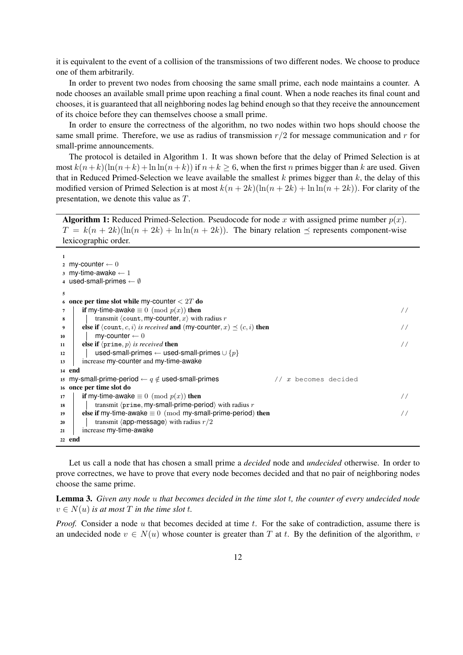it is equivalent to the event of a collision of the transmissions of two different nodes. We choose to produce one of them arbitrarily.

In order to prevent two nodes from choosing the same small prime, each node maintains a counter. A node chooses an available small prime upon reaching a final count. When a node reaches its final count and chooses, it is guaranteed that all neighboring nodes lag behind enough so that they receive the announcement of its choice before they can themselves choose a small prime.

In order to ensure the correctness of the algorithm, no two nodes within two hops should choose the same small prime. Therefore, we use as radius of transmission  $r/2$  for message communication and r for small-prime announcements.

The protocol is detailed in Algorithm 1. It was shown before that the delay of Primed Selection is at most  $k(n+k)(\ln(n+k) + \ln \ln(n+k))$  if  $n+k \ge 6$ , when the first n primes bigger than k are used. Given that in Reduced Primed-Selection we leave available the smallest  $k$  primes bigger than  $k$ , the delay of this modified version of Primed Selection is at most  $k(n + 2k)(\ln(n + 2k) + \ln \ln(n + 2k))$ . For clarity of the presentation, we denote this value as T.

**Algorithm 1:** Reduced Primed-Selection. Pseudocode for node x with assigned prime number  $p(x)$ .  $T = k(n + 2k)(\ln(n + 2k) + \ln(n + 2k))$ . The binary relation  $\prec$  represents component-wise lexicographic order.

```
1
2 my-counter \leftarrow 03 my-time-awake \leftarrow 1
4 used-small-primes \leftarrow \emptyset5
6 once per time slot while my-counter \langle 2T \rangle do
\tau if my-time-awake \equiv 0 \pmod{p(x)} then \ell8 transmit \langle count, my-counter, x \rangle with radius r
9 else if \langle \text{count}, c, i \rangle is received and (my-counter, x \leq (c, i) then //
10 \vert my-counter \leftarrow 0
11 else if \langle \text{prime}, p \rangle is received then //
12 used-small-primes ← used-small-primes \cup \{p\}13 increase my-counter and my-time-awake
14 end
15 my-small-prime-period \leftarrow q \notin used-small-primes // x becomes decided
16 once per time slot do
17 if my-time-awake \equiv 0 \pmod{p(x)} then \qquad18 \vert transmit \langleprime, my-small-prime-period\rangle with radius r
19 else if my-time-awake \equiv 0 \pmod{m}-small-prime-period) then \frac{1}{2}20 \parallel transmit \langle app-message\rangle with radius r/221 increase my-time-awake
22 end
```
Let us call a node that has chosen a small prime a *decided* node and *undecided* otherwise. In order to prove correctnes, we have to prove that every node becomes decided and that no pair of neighboring nodes choose the same prime.

Lemma 3. *Given any node* u *that becomes decided in the time slot* t*, the counter of every undecided node*  $v \in N(u)$  *is at most* T *in the time slot t.* 

*Proof.* Consider a node u that becomes decided at time t. For the sake of contradiction, assume there is an undecided node  $v \in N(u)$  whose counter is greater than T at t. By the definition of the algorithm, v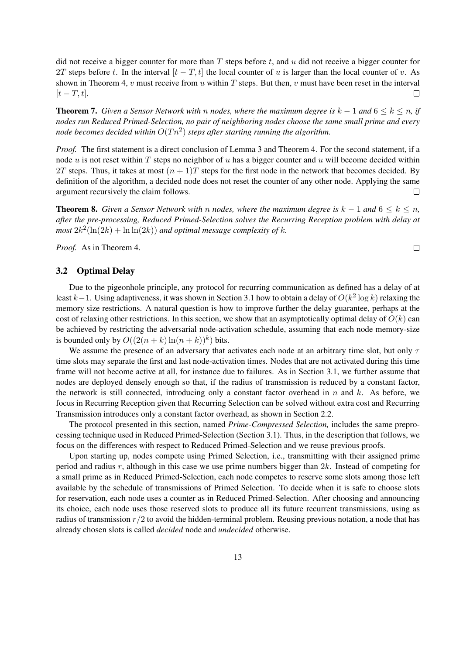did not receive a bigger counter for more than  $T$  steps before  $t$ , and  $u$  did not receive a bigger counter for 2T steps before t. In the interval  $[t - T, t]$  the local counter of u is larger than the local counter of v. As shown in Theorem 4, v must receive from u within T steps. But then, v must have been reset in the interval  $[t-T,t].$  $\Box$ 

**Theorem 7.** *Given a Sensor Network with* n nodes, where the maximum degree is  $k - 1$  and  $6 \leq k \leq n$ , if *nodes run Reduced Primed-Selection, no pair of neighboring nodes choose the same small prime and every* node becomes decided within  $O(Tn^2)$  steps after starting running the algorithm.

*Proof.* The first statement is a direct conclusion of Lemma 3 and Theorem 4. For the second statement, if a node u is not reset within T steps no neighbor of u has a bigger counter and u will become decided within 2T steps. Thus, it takes at most  $(n + 1)T$  steps for the first node in the network that becomes decided. By definition of the algorithm, a decided node does not reset the counter of any other node. Applying the same argument recursively the claim follows.  $\Box$ 

**Theorem 8.** Given a Sensor Network with n nodes, where the maximum degree is  $k - 1$  and  $6 \leq k \leq n$ . *after the pre-processing, Reduced Primed-Selection solves the Recurring Reception problem with delay at*  $m$ ost  $2k^2(\ln(2k) + \ln \ln(2k))$  *and optimal message complexity of k.* 

*Proof.* As in Theorem 4.

## 3.2 Optimal Delay

Due to the pigeonhole principle, any protocol for recurring communication as defined has a delay of at least k–1. Using adaptiveness, it was shown in Section 3.1 how to obtain a delay of  $O(k^2 \log k)$  relaxing the memory size restrictions. A natural question is how to improve further the delay guarantee, perhaps at the cost of relaxing other restrictions. In this section, we show that an asymptotically optimal delay of  $O(k)$  can be achieved by restricting the adversarial node-activation schedule, assuming that each node memory-size is bounded only by  $O((2(n+k)\ln(n+k))^k)$  bits.

We assume the presence of an adversary that activates each node at an arbitrary time slot, but only  $\tau$ time slots may separate the first and last node-activation times. Nodes that are not activated during this time frame will not become active at all, for instance due to failures. As in Section 3.1, we further assume that nodes are deployed densely enough so that, if the radius of transmission is reduced by a constant factor, the network is still connected, introducing only a constant factor overhead in n and k. As before, we focus in Recurring Reception given that Recurring Selection can be solved without extra cost and Recurring Transmission introduces only a constant factor overhead, as shown in Section 2.2.

The protocol presented in this section, named *Prime-Compressed Selection,* includes the same preprocessing technique used in Reduced Primed-Selection (Section 3.1). Thus, in the description that follows, we focus on the differences with respect to Reduced Primed-Selection and we reuse previous proofs.

Upon starting up, nodes compete using Primed Selection, i.e., transmitting with their assigned prime period and radius r, although in this case we use prime numbers bigger than  $2k$ . Instead of competing for a small prime as in Reduced Primed-Selection, each node competes to reserve some slots among those left available by the schedule of transmissions of Primed Selection. To decide when it is safe to choose slots for reservation, each node uses a counter as in Reduced Primed-Selection. After choosing and announcing its choice, each node uses those reserved slots to produce all its future recurrent transmissions, using as radius of transmission  $r/2$  to avoid the hidden-terminal problem. Reusing previous notation, a node that has already chosen slots is called *decided* node and *undecided* otherwise.

 $\Box$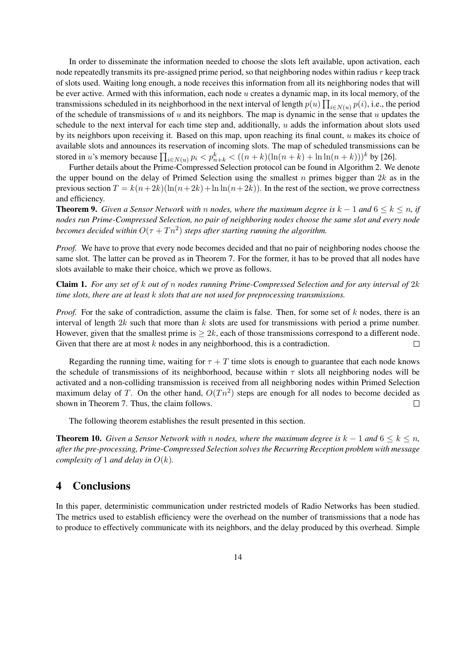In order to disseminate the information needed to choose the slots left available, upon activation, each node repeatedly transmits its pre-assigned prime period, so that neighboring nodes within radius  $r$  keep track of slots used. Waiting long enough, a node receives this information from all its neighboring nodes that will be ever active. Armed with this information, each node  $u$  creates a dynamic map, in its local memory, of the transmissions scheduled in its neighborhood in the next interval of length  $p(u) \prod_{i \in N(u)} p(i)$ , i.e., the period of the schedule of transmissions of  $u$  and its neighbors. The map is dynamic in the sense that  $u$  updates the schedule to the next interval for each time step and, additionally,  $u$  adds the information about slots used by its neighbors upon receiving it. Based on this map, upon reaching its final count,  $u$  makes its choice of available slots and announces its reservation of incoming slots. The map of scheduled transmissions can be stored in u's memory because  $\prod_{i \in N(u)} p_i < p_{n+k}^k < ((n+k)(\ln(n+k) + \ln \ln(n+k)))^k$  by [26].

Further details about the Prime-Compressed Selection protocol can be found in Algorithm 2. We denote the upper bound on the delay of Primed Selection using the smallest n primes bigger than  $2k$  as in the previous section  $T = k(n+2k)(\ln(n+2k)+\ln \ln(n+2k))$ . In the rest of the section, we prove correctness and efficiency.

**Theorem 9.** Given a Sensor Network with n nodes, where the maximum degree is  $k - 1$  and  $6 \leq k \leq n$ , if *nodes run Prime-Compressed Selection, no pair of neighboring nodes choose the same slot and every node* becomes decided within  $O(\tau+Tn^2)$  steps after starting running the algorithm.

*Proof.* We have to prove that every node becomes decided and that no pair of neighboring nodes choose the same slot. The latter can be proved as in Theorem 7. For the former, it has to be proved that all nodes have slots available to make their choice, which we prove as follows.

Claim 1. *For any set of* k *out of* n *nodes running Prime-Compressed Selection and for any interval of* 2k *time slots, there are at least* k *slots that are not used for preprocessing transmissions.*

*Proof.* For the sake of contradiction, assume the claim is false. Then, for some set of k nodes, there is an interval of length 2k such that more than k slots are used for transmissions with period a prime number. However, given that the smallest prime is  $\geq 2k$ , each of those transmissions correspond to a different node. Given that there are at most  $k$  nodes in any neighborhood, this is a contradiction.  $\Box$ 

Regarding the running time, waiting for  $\tau + T$  time slots is enough to guarantee that each node knows the schedule of transmissions of its neighborhood, because within  $\tau$  slots all neighboring nodes will be activated and a non-colliding transmission is received from all neighboring nodes within Primed Selection maximum delay of T. On the other hand,  $O(Tn^2)$  steps are enough for all nodes to become decided as shown in Theorem 7. Thus, the claim follows.  $\Box$ 

The following theorem establishes the result presented in this section.

**Theorem 10.** *Given a Sensor Network with* n nodes, where the maximum degree is  $k - 1$  and  $6 \leq k \leq n$ . *after the pre-processing, Prime-Compressed Selection solves the Recurring Reception problem with message complexity of* 1 *and delay in*  $O(k)$ *.* 

# 4 Conclusions

In this paper, deterministic communication under restricted models of Radio Networks has been studied. The metrics used to establish efficiency were the overhead on the number of transmissions that a node has to produce to effectively communicate with its neighbors, and the delay produced by this overhead. Simple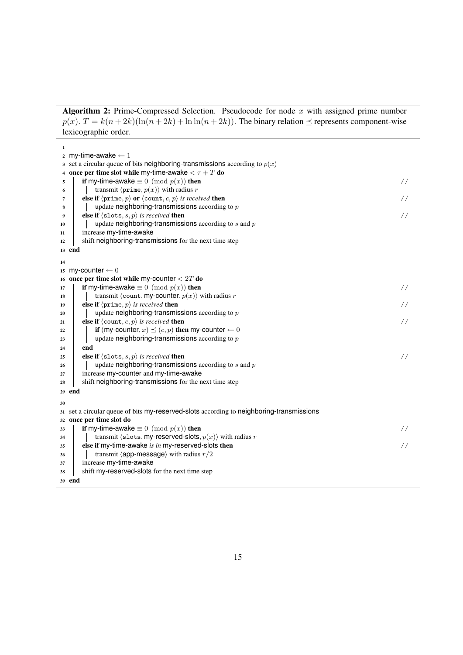Algorithm 2: Prime-Compressed Selection. Pseudocode for node  $x$  with assigned prime number  $p(x)$ .  $T = k(n+2k)(\ln(n+2k) + \ln \ln(n+2k))$ . The binary relation  $\preceq$  represents component-wise lexicographic order.

| 1                                                                                                       |               |
|---------------------------------------------------------------------------------------------------------|---------------|
| 2 my-time-awake $\leftarrow$ 1                                                                          |               |
| 3 set a circular queue of bits neighboring-transmissions according to $p(x)$                            |               |
| once per time slot while my-time-awake $\langle \tau + T \, \text{d}\mathbf{0} \rangle$<br>4            |               |
| if my-time-awake $\equiv 0 \pmod{p(x)}$ then<br>5                                                       | $\frac{1}{2}$ |
| transmit $\langle \text{prime}, p(x) \rangle$ with radius r<br>6                                        |               |
| else if $\langle \text{prime}, p \rangle$ or $\langle \text{count}, c, p \rangle$ is received then<br>7 | $\frac{1}{2}$ |
| update neighboring-transmissions according to $p$<br>8                                                  |               |
| else if $\langle$ slots, s, p $\rangle$ is received then<br>$\boldsymbol{9}$                            | $\frac{1}{2}$ |
| update neighboring-transmissions according to $s$ and $p$<br>10                                         |               |
| increase my-time-awake<br>11                                                                            |               |
| shift neighboring-transmissions for the next time step<br>12                                            |               |
| 13 end                                                                                                  |               |
| 14                                                                                                      |               |
| my-counter $\leftarrow 0$<br>15                                                                         |               |
| once per time slot while my-counter $< 2T$ do<br>16                                                     |               |
| if my-time-awake $\equiv 0 \pmod{p(x)}$ then<br>17                                                      | $\frac{1}{2}$ |
| transmit $\langle$ count, my-counter, $p(x)$ with radius r<br>18                                        |               |
| else if $\langle \text{prime}, p \rangle$ is received then<br>19                                        | //            |
| update neighboring-transmissions according to $p$<br>20                                                 |               |
| else if $\langle$ count, c, p $\rangle$ is received then<br>21                                          | $\frac{1}{2}$ |
| if (my-counter, $x) \preceq (c, p)$ then my-counter $\leftarrow 0$<br>22                                |               |
| update neighboring-transmissions according to $p$<br>23                                                 |               |
| end<br>24                                                                                               |               |
| else if $\langle$ slots, s, p $\rangle$ is received then<br>25                                          | $\frac{1}{2}$ |
| update neighboring-transmissions according to $s$ and $p$<br>26                                         |               |
| increase my-counter and my-time-awake<br>27                                                             |               |
| shift neighboring-transmissions for the next time step<br>28                                            |               |
| end<br>29                                                                                               |               |
| 30                                                                                                      |               |
| set a circular queue of bits my-reserved-slots according to neighboring-transmissions                   |               |
| 31<br>once per time slot do<br>32                                                                       |               |
| if my-time-awake $\equiv 0 \pmod{p(x)}$ then<br>33                                                      | $\frac{1}{2}$ |
| transmit $\langle$ slots, my-reserved-slots, $p(x)$ with radius r<br>34                                 |               |
| else if my-time-awake is in my-reserved-slots then<br>35                                                | $\frac{1}{2}$ |
| transmit $\langle$ app-message $\rangle$ with radius $r/2$<br>36                                        |               |
| increase my-time-awake<br>37                                                                            |               |
| shift my-reserved-slots for the next time step<br>38                                                    |               |
| 39 end                                                                                                  |               |
|                                                                                                         |               |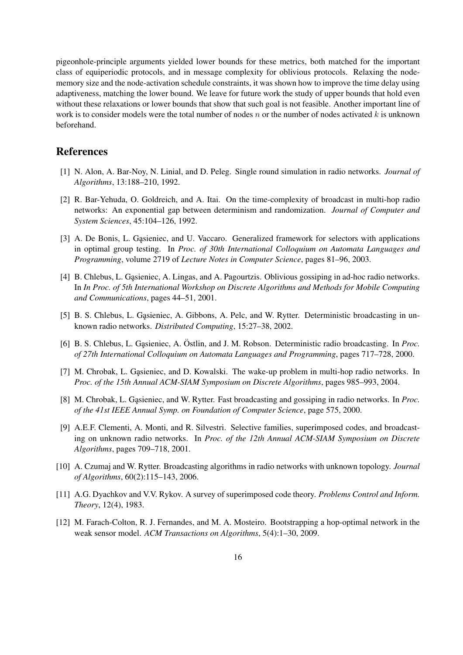pigeonhole-principle arguments yielded lower bounds for these metrics, both matched for the important class of equiperiodic protocols, and in message complexity for oblivious protocols. Relaxing the nodememory size and the node-activation schedule constraints, it was shown how to improve the time delay using adaptiveness, matching the lower bound. We leave for future work the study of upper bounds that hold even without these relaxations or lower bounds that show that such goal is not feasible. Another important line of work is to consider models were the total number of nodes n or the number of nodes activated k is unknown beforehand.

## References

- [1] N. Alon, A. Bar-Noy, N. Linial, and D. Peleg. Single round simulation in radio networks. *Journal of Algorithms*, 13:188–210, 1992.
- [2] R. Bar-Yehuda, O. Goldreich, and A. Itai. On the time-complexity of broadcast in multi-hop radio networks: An exponential gap between determinism and randomization. *Journal of Computer and System Sciences*, 45:104–126, 1992.
- [3] A. De Bonis, L. Gasieniec, and U. Vaccaro. Generalized framework for selectors with applications in optimal group testing. In *Proc. of 30th International Colloquium on Automata Languages and Programming*, volume 2719 of *Lecture Notes in Computer Science*, pages 81–96, 2003.
- [4] B. Chlebus, L. Gasieniec, A. Lingas, and A. Pagourtzis. Oblivious gossiping in ad-hoc radio networks. In *In Proc. of 5th International Workshop on Discrete Algorithms and Methods for Mobile Computing and Communications*, pages 44–51, 2001.
- [5] B. S. Chlebus, L. Gasieniec, A. Gibbons, A. Pelc, and W. Rytter. Deterministic broadcasting in unknown radio networks. *Distributed Computing*, 15:27–38, 2002.
- [6] B. S. Chlebus, L. Gasieniec, A. Östlin, and J. M. Robson. Deterministic radio broadcasting. In *Proc. of 27th International Colloquium on Automata Languages and Programming*, pages 717–728, 2000.
- [7] M. Chrobak, L. Gasieniec, and D. Kowalski. The wake-up problem in multi-hop radio networks. In *Proc. of the 15th Annual ACM-SIAM Symposium on Discrete Algorithms*, pages 985–993, 2004.
- [8] M. Chrobak, L. Gasieniec, and W. Rytter. Fast broadcasting and gossiping in radio networks. In *Proc. of the 41st IEEE Annual Symp. on Foundation of Computer Science*, page 575, 2000.
- [9] A.E.F. Clementi, A. Monti, and R. Silvestri. Selective families, superimposed codes, and broadcasting on unknown radio networks. In *Proc. of the 12th Annual ACM-SIAM Symposium on Discrete Algorithms*, pages 709–718, 2001.
- [10] A. Czumaj and W. Rytter. Broadcasting algorithms in radio networks with unknown topology. *Journal of Algorithms*, 60(2):115–143, 2006.
- [11] A.G. Dyachkov and V.V. Rykov. A survey of superimposed code theory. *Problems Control and Inform. Theory*, 12(4), 1983.
- [12] M. Farach-Colton, R. J. Fernandes, and M. A. Mosteiro. Bootstrapping a hop-optimal network in the weak sensor model. *ACM Transactions on Algorithms*, 5(4):1–30, 2009.